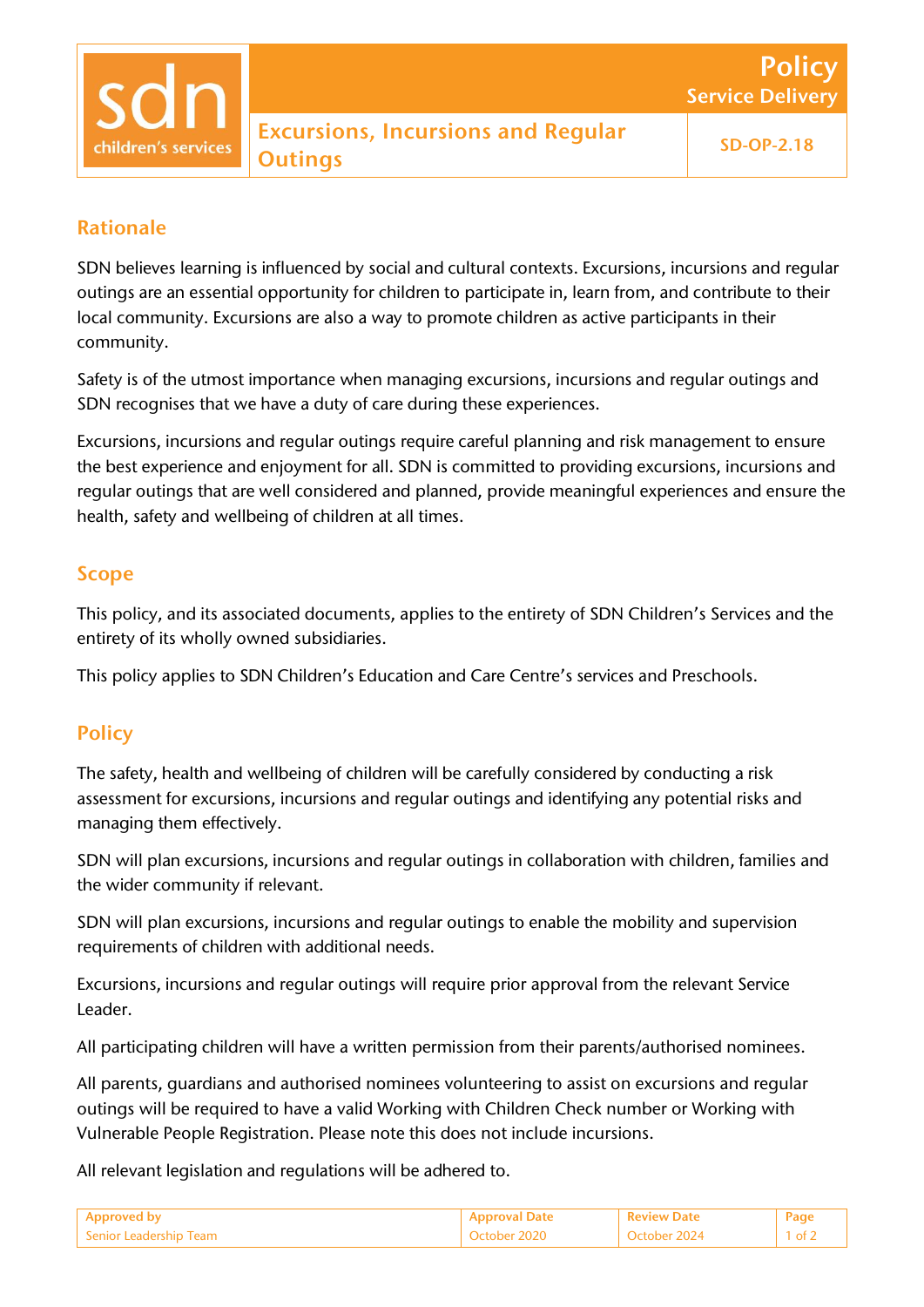# Rationale

SDN believes learning is influenced by social and cultural contexts. Excursions, incursions and regular outings are an essential opportunity for children to participate in, learn from, and contribute to their local community. Excursions are also a way to promote children as active participants in their community.

Safety is of the utmost importance when managing excursions, incursions and regular outings and SDN recognises that we have a duty of care during these experiences.

Excursions, incursions and regular outings require careful planning and risk management to ensure the best experience and enjoyment for all. SDN is committed to providing excursions, incursions and regular outings that are well considered and planned, provide meaningful experiences and ensure the health, safety and wellbeing of children at all times.

## Scope

This policy, and its associated documents, applies to the entirety of SDN Children's Services and the entirety of its wholly owned subsidiaries.

This policy applies to SDN Children's Education and Care Centre's services and Preschools.

# **Policy**

The safety, health and wellbeing of children will be carefully considered by conducting a risk assessment for excursions, incursions and regular outings and identifying any potential risks and managing them effectively.

SDN will plan excursions, incursions and regular outings in collaboration with children, families and the wider community if relevant.

SDN will plan excursions, incursions and regular outings to enable the mobility and supervision requirements of children with additional needs.

Excursions, incursions and regular outings will require prior approval from the relevant Service Leader.

All participating children will have a written permission from their parents/authorised nominees.

All parents, guardians and authorised nominees volunteering to assist on excursions and regular outings will be required to have a valid Working with Children Check number or Working with Vulnerable People Registration. Please note this does not include incursions.

All relevant legislation and regulations will be adhered to.

| <b>Approved by</b>       | Approval Date | <b>Review Date</b> | Pag |
|--------------------------|---------------|--------------------|-----|
| l Senior Leadership Team | October 2020  | October :          |     |